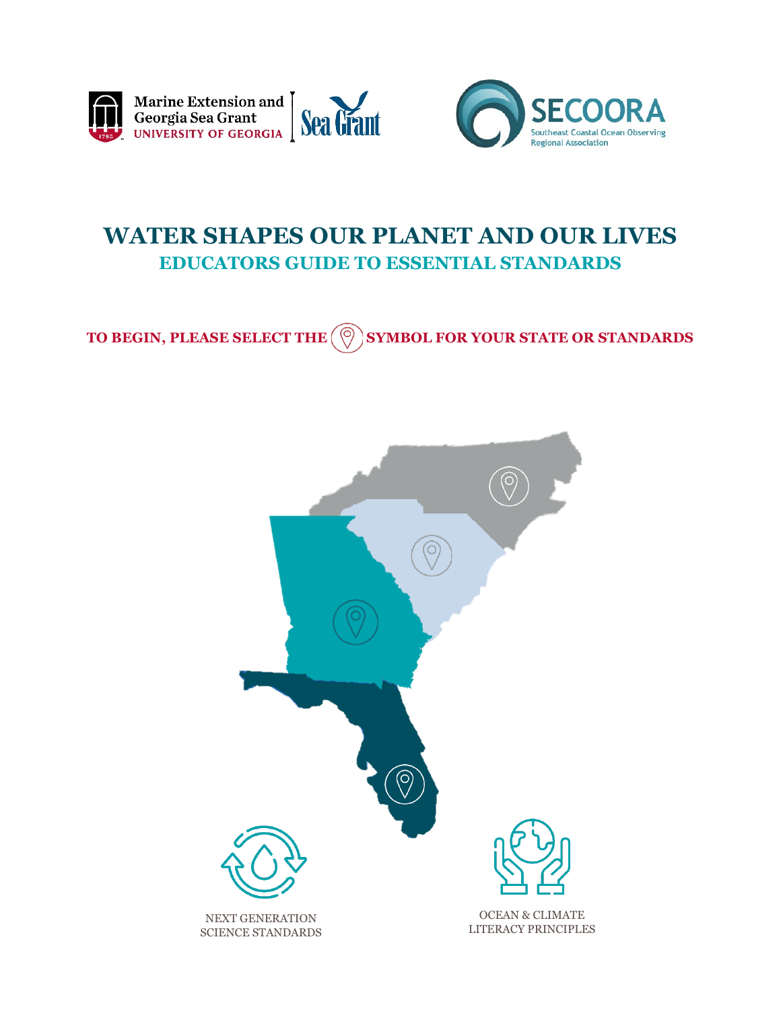<span id="page-0-0"></span>



# **WATER SHAPES OUR PLANET AND OUR LIVES EDUCATORS GUIDE TO ESSENTIAL STANDARDS**

TO BEGIN, PLEASE SELECT THE  $(\textcircled{\scriptsize{\odot}})$  SYMBOL FOR YOUR STATE OR STANDARDS

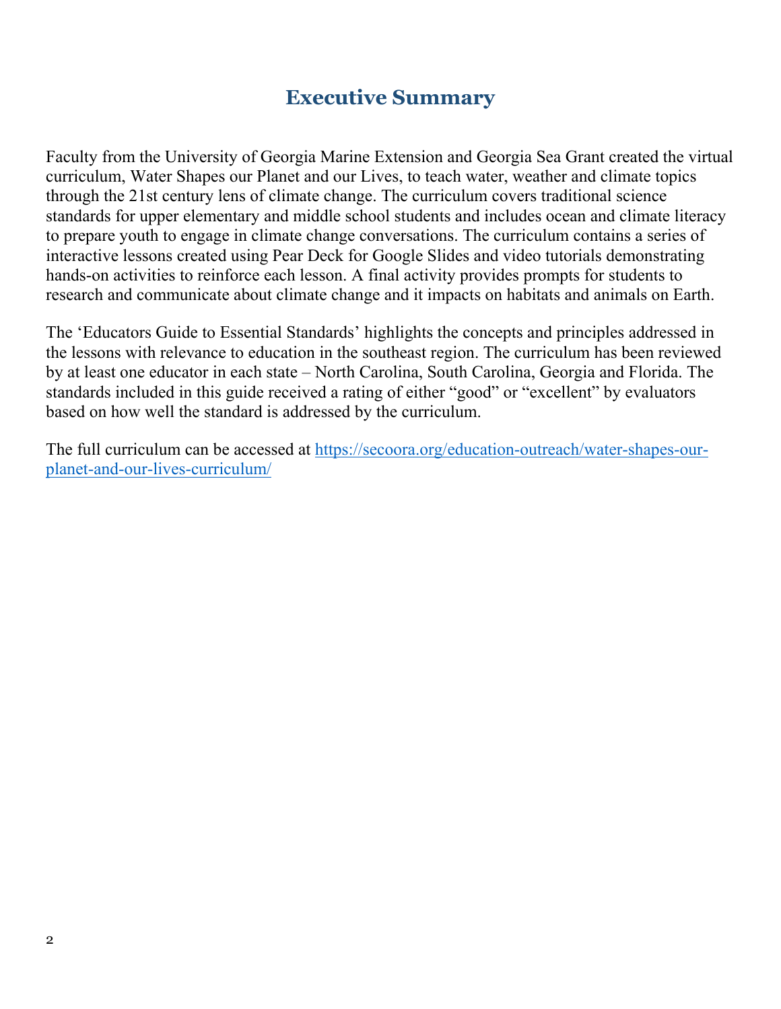# **Executive Summary**

Faculty from the University of Georgia Marine Extension and Georgia Sea Grant created the virtual curriculum, Water Shapes our Planet and our Lives, to teach water, weather and climate topics through the 21st century lens of climate change. The curriculum covers traditional science standards for upper elementary and middle school students and includes ocean and climate literacy to prepare youth to engage in climate change conversations. The curriculum contains a series of interactive lessons created using Pear Deck for Google Slides and video tutorials demonstrating hands-on activities to reinforce each lesson. A final activity provides prompts for students to research and communicate about climate change and it impacts on habitats and animals on Earth.

The 'Educators Guide to Essential Standards' highlights the concepts and principles addressed in the lessons with relevance to education in the southeast region. The curriculum has been reviewed by at least one educator in each state – North Carolina, South Carolina, Georgia and Florida. The standards included in this guide received a rating of either "good" or "excellent" by evaluators based on how well the standard is addressed by the curriculum.

The full curriculum can be accessed at [https://secoora.org/education-outreach/water-shapes-our](https://secoora.org/education-outreach/water-shapes-our-planet-and-our-lives-curriculum/)[planet-and-our-lives-curriculum/](https://secoora.org/education-outreach/water-shapes-our-planet-and-our-lives-curriculum/)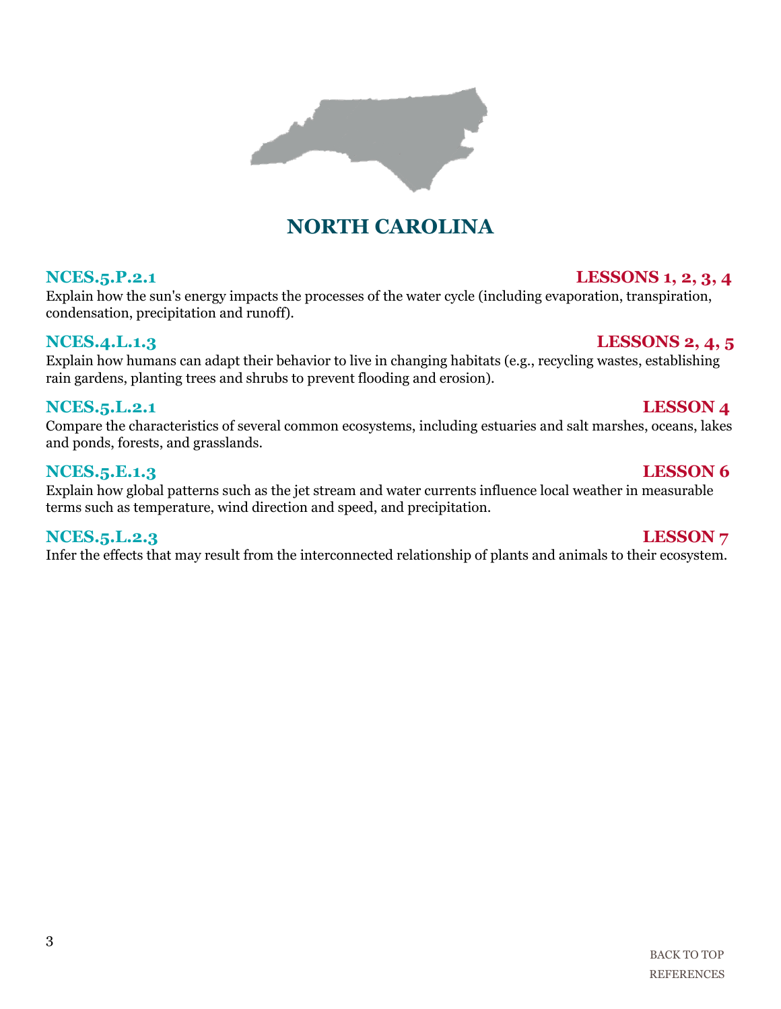Explain how the sun's energy impacts the processes of the water cycle (including evaporation, transpiration, condensation, precipitation and runoff).

**NORTH CAROLINA**

### **NCES.4.L.1.3 LESSONS 2, 4, 5**

Explain how humans can adapt their behavior to live in changing habitats (e.g., recycling wastes, establishing rain gardens, planting trees and shrubs to prevent flooding and erosion).

### **NCES.5.L.2.1** LESSON 4

Compare the characteristics of several common ecosystems, including estuaries and salt marshes, oceans, lakes and ponds, forests, and grasslands.

### **NCES.5.E.1.3 LESSON 6**

Explain how global patterns such as the jet stream and water currents influence local weather in measurable terms such as temperature, wind direction and speed, and precipitation.

### **NCES.5.L.2.3** LESSON 7

Infer the effects that may result from the interconnected relationship of plants and animals to their ecosystem.



# **NCES.5.P.2.1 LESSONS 1, 2, 3, 4**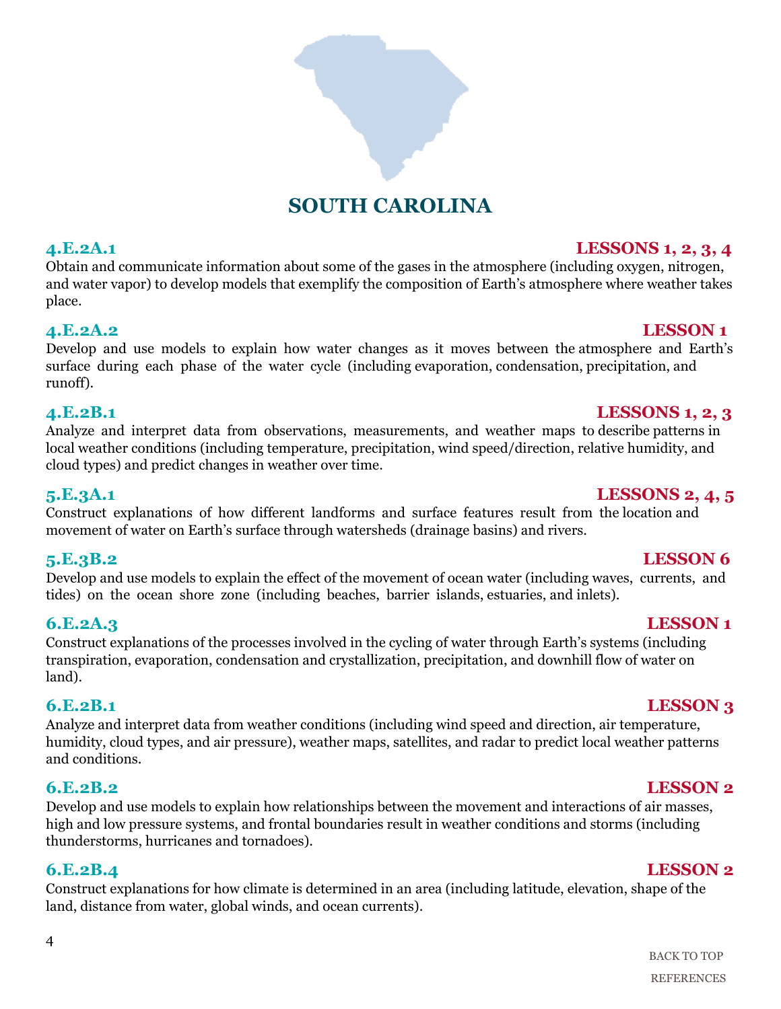

# **SOUTH CAROLINA**

Obtain and communicate information about some of the gases in the atmosphere (including oxygen, nitrogen, and water vapor) to develop models that exemplify the composition of Earth's atmosphere where weather takes place.

### **4.E.2A.2 LESSON 1**

Develop and use models to explain how water changes as it moves between the atmosphere and Earth's surface during each phase of the water cycle (including evaporation, condensation, precipitation, and runoff).

### **4.E.2B.1 LESSONS 1, 2, 3**

Analyze and interpret data from observations, measurements, and weather maps to describe patterns in local weather conditions (including temperature, precipitation, wind speed/direction, relative humidity, and cloud types) and predict changes in weather over time.

**5.E.3A.1 LESSONS 2, 4, 5**

### Construct explanations of how different landforms and surface features result from the location and movement of water on Earth's surface through watersheds (drainage basins) and rivers.

Develop and use models to explain the effect of the movement of ocean water (including waves, currents, and tides) on the ocean shore zone (including beaches, barrier islands, estuaries, and inlets).

Construct explanations of the processes involved in the cycling of water through Earth's systems (including transpiration, evaporation, condensation and crystallization, precipitation, and downhill flow of water on land).

### **6.E.2B.1 LESSON 3**

Analyze and interpret data from weather conditions (including wind speed and direction, air temperature, humidity, cloud types, and air pressure), weather maps, satellites, and radar to predict local weather patterns and conditions.

Develop and use models to explain how relationships between the movement and interactions of air masses, high and low pressure systems, and frontal boundaries result in weather conditions and storms (including thunderstorms, hurricanes and tornadoes).

Construct explanations for how climate is determined in an area (including latitude, elevation, shape of the land, distance from water, global winds, and ocean currents).

# **4.E.2A.1 LESSONS 1, 2, 3, 4**

# **5.E.3B.2 LESSON 6**

### **6.E.2A.3 LESSON 1**

### **6.E.2B.2 LESSON 2**

### **6.E.2B.4 LESSON 2**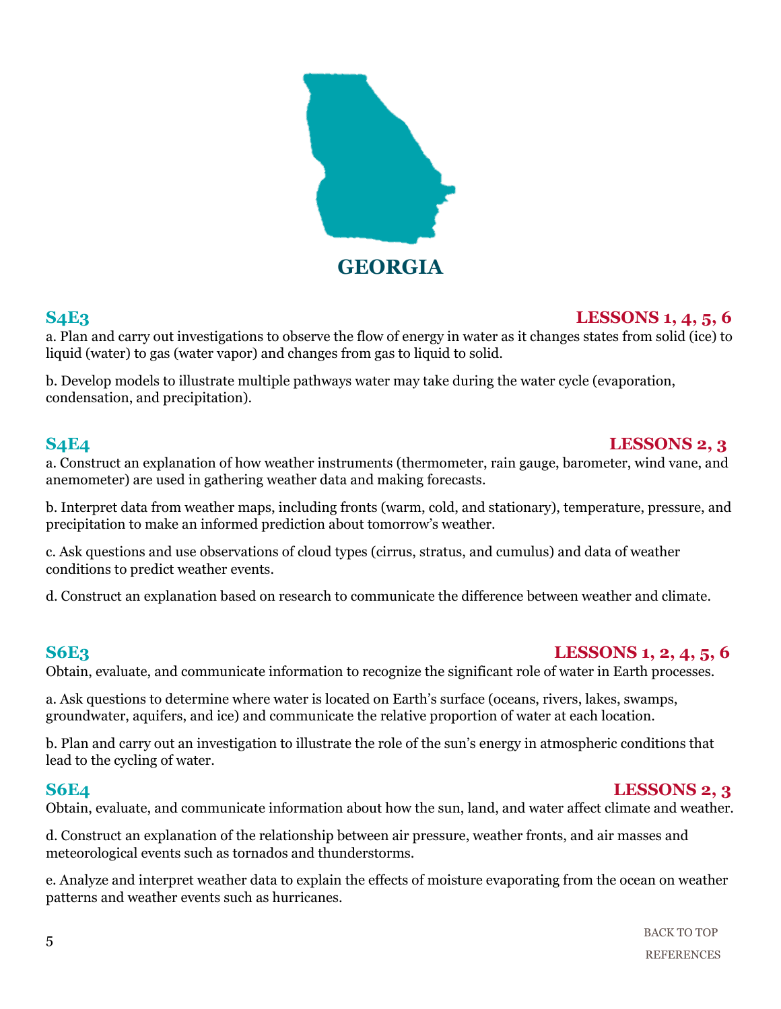

### **S4E3 LESSONS 1, 4, 5, 6**

a. Plan and carry out investigations to observe the flow of energy in water as it changes states from solid (ice) to liquid (water) to gas (water vapor) and changes from gas to liquid to solid.

b. Develop models to illustrate multiple pathways water may take during the water cycle (evaporation, condensation, and precipitation).

# **S4E4 LESSONS 2, 3**

a. Construct an explanation of how weather instruments (thermometer, rain gauge, barometer, wind vane, and anemometer) are used in gathering weather data and making forecasts.

b. Interpret data from weather maps, including fronts (warm, cold, and stationary), temperature, pressure, and precipitation to make an informed prediction about tomorrow's weather.

c. Ask questions and use observations of cloud types (cirrus, stratus, and cumulus) and data of weather conditions to predict weather events.

d. Construct an explanation based on research to communicate the difference between weather and climate.

### **S6E3 LESSONS 1, 2, 4, 5, 6**

Obtain, evaluate, and communicate information to recognize the significant role of water in Earth processes.

a. Ask questions to determine where water is located on Earth's surface (oceans, rivers, lakes, swamps, groundwater, aquifers, and ice) and communicate the relative proportion of water at each location.

b. Plan and carry out an investigation to illustrate the role of the sun's energy in atmospheric conditions that lead to the cycling of water.

### **S6E4 LESSONS 2, 3**

Obtain, evaluate, and communicate information about how the sun, land, and water affect climate and weather.

d. Construct an explanation of the relationship between air pressure, weather fronts, and air masses and meteorological events such as tornados and thunderstorms.

e. Analyze and interpret weather data to explain the effects of moisture evaporating from the ocean on weather patterns and weather events such as hurricanes.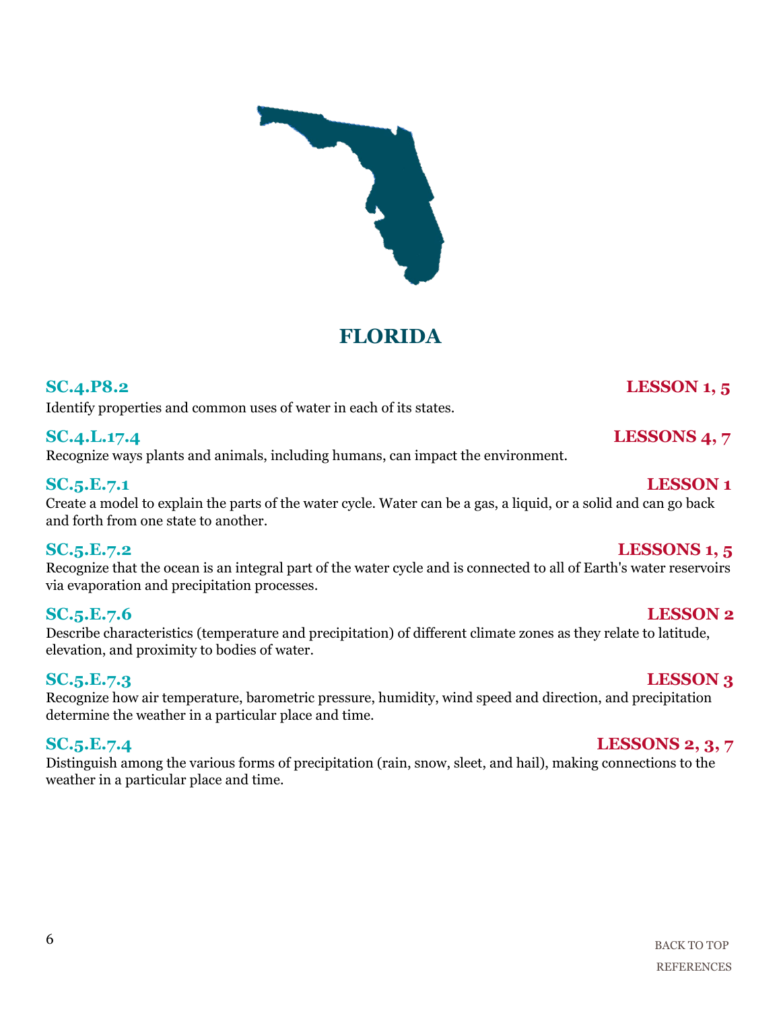# **FLORIDA**

# **SC.4.P8.2 LESSON 1, 5**

Identify properties and common uses of water in each of its states.

# **SC.4.L.17.4** LESSONS 4, 7

Recognize ways plants and animals, including humans, can impact the environment.

### **SC.5.E.7.1 LESSON 1**

Create a model to explain the parts of the water cycle. Water can be a gas, a liquid, or a solid and can go back and forth from one state to another.

Recognize that the ocean is an integral part of the water cycle and is connected to all of Earth's water reservoirs via evaporation and precipitation processes.

### **SC.5.E.7.6 LESSON 2**

Describe characteristics (temperature and precipitation) of different climate zones as they relate to latitude, elevation, and proximity to bodies of water.

### **SC.5.E.7.3 LESSON 3**

Recognize how air temperature, barometric pressure, humidity, wind speed and direction, and precipitation determine the weather in a particular place and time.

### **SC.5.E.7.4 LESSONS 2, 3, 7**

Distinguish among the various forms of precipitation (rain, snow, sleet, and hail), making connections to the weather in a particular place and time.

### **SC.5.E.7.2 LESSONS 1, 5**







6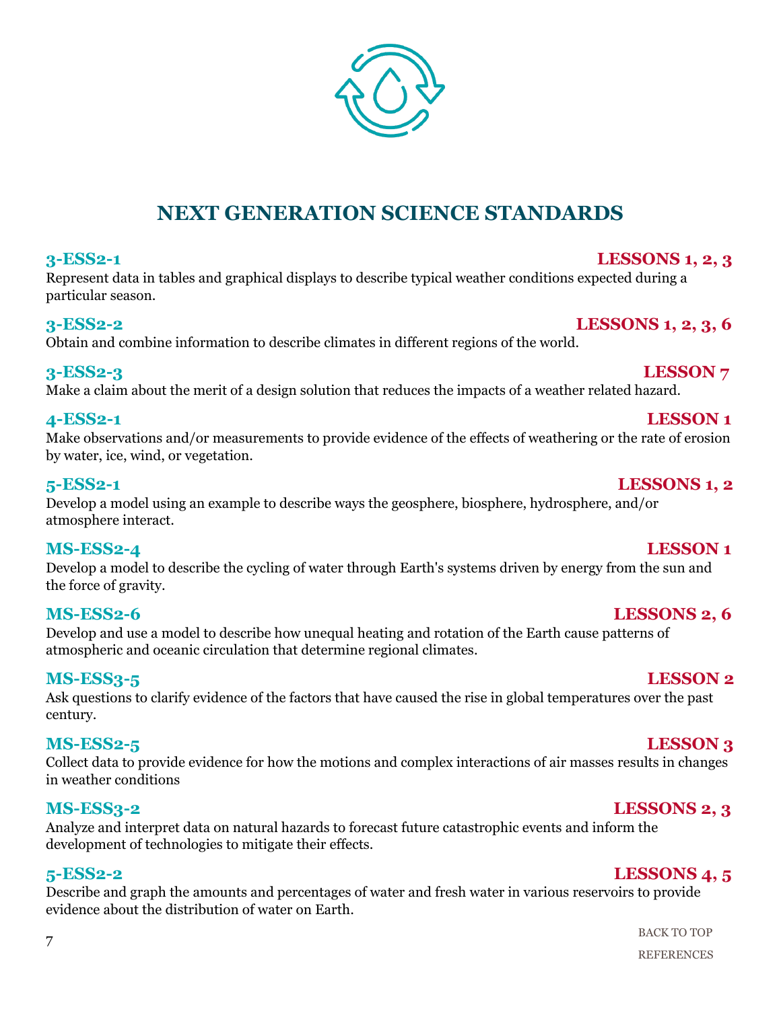[BACK TO TOP](#page-0-0) [REFERENCES](#page-9-0)

### 7

# **NEXT GENERATION SCIENCE STANDARDS**

### **3-ESS2-1 LESSONS 1, 2, 3**

Represent data in tables and graphical displays to describe typical weather conditions expected during a particular season.

### **3-ESS2-2 LESSONS 1, 2, 3, 6**

Obtain and combine information to describe climates in different regions of the world.

### **3-ESS2-3 LESSON 7**

Make a claim about the merit of a design solution that reduces the impacts of a weather related hazard.

### **4-ESS2-1 LESSON 1**

Make observations and/or measurements to provide evidence of the effects of weathering or the rate of erosion by water, ice, wind, or vegetation.

### **5-ESS2-1 LESSONS 1, 2**

Develop a model using an example to describe ways the geosphere, biosphere, hydrosphere, and/or atmosphere interact.

### **MS-ESS2-4 LESSON 1**

Develop a model to describe the cycling of water through Earth's systems driven by energy from the sun and the force of gravity.

Develop and use a model to describe how unequal heating and rotation of the Earth cause patterns of atmospheric and oceanic circulation that determine regional climates.

### **MS-ESS3-5 LESSON 2**

Ask questions to clarify evidence of the factors that have caused the rise in global temperatures over the past century.

### **MS-ESS2-5 LESSON 3**

Collect data to provide evidence for how the motions and complex interactions of air masses results in changes in weather conditions

### **MS-ESS3-2 LESSONS 2, 3**

Analyze and interpret data on natural hazards to forecast future catastrophic events and inform the development of technologies to mitigate their effects.

### **5-ESS2-2 LESSONS 4, 5**

Describe and graph the amounts and percentages of water and fresh water in various reservoirs to provide evidence about the distribution of water on Earth.

### **MS-ESS2-6 LESSONS 2, 6**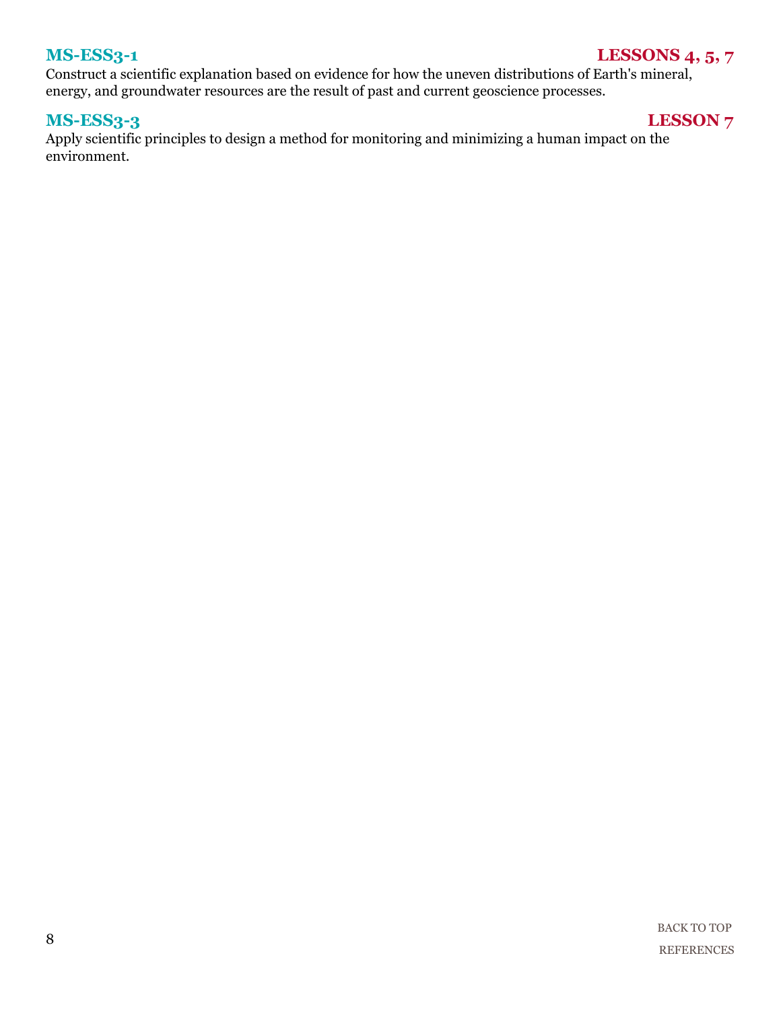### **MS-ESS3-1** LESSONS 4, 5, 7

Construct a scientific explanation based on evidence for how the uneven distributions of Earth's mineral, energy, and groundwater resources are the result of past and current geoscience processes.

### **MS-ESS3-3 LESSON 7**

Apply scientific principles to design a method for monitoring and minimizing a human impact on the environment.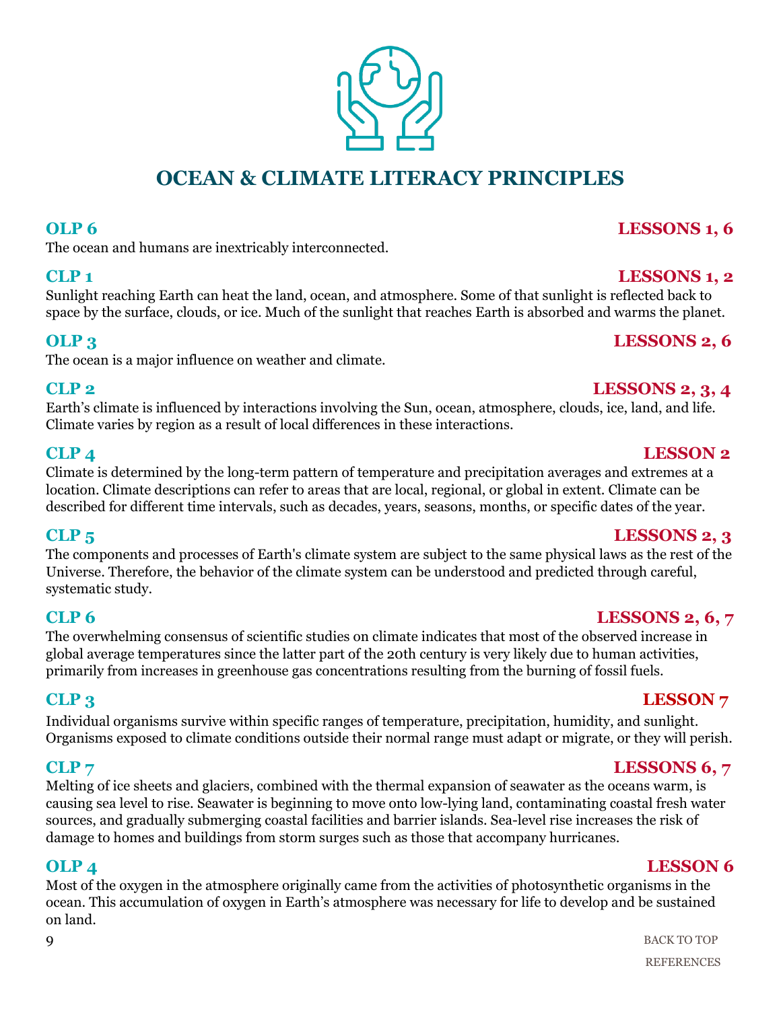# **OCEAN & CLIMATE LITERACY PRINCIPLES**

### **OLP 6** LESSONS 1, 6

The ocean and humans are inextricably interconnected.

Sunlight reaching Earth can heat the land, ocean, and atmosphere. Some of that sunlight is reflected back to space by the surface, clouds, or ice. Much of the sunlight that reaches Earth is absorbed and warms the planet.

### **OLP 3** LESSONS 2, 6

The ocean is a major influence on weather and climate.

### **CLP 2 LESSONS 2, 3, 4**

Earth's climate is influenced by interactions involving the Sun, ocean, atmosphere, clouds, ice, land, and life. Climate varies by region as a result of local differences in these interactions.

### **CLP 4 LESSON 2**

Climate is determined by the long-term pattern of temperature and precipitation averages and extremes at a location. Climate descriptions can refer to areas that are local, regional, or global in extent. Climate can be described for different time intervals, such as decades, years, seasons, months, or specific dates of the year.

The components and processes of Earth's climate system are subject to the same physical laws as the rest of the Universe. Therefore, the behavior of the climate system can be understood and predicted through careful, systematic study.

The overwhelming consensus of scientific studies on climate indicates that most of the observed increase in global average temperatures since the latter part of the 20th century is very likely due to human activities, primarily from increases in greenhouse gas concentrations resulting from the burning of fossil fuels.

# **CLP 3 LESSON 7**

Individual organisms survive within specific ranges of temperature, precipitation, humidity, and sunlight. Organisms exposed to climate conditions outside their normal range must adapt or migrate, or they will perish.

Melting of ice sheets and glaciers, combined with the thermal expansion of seawater as the oceans warm, is causing sea level to rise. Seawater is beginning to move onto low-lying land, contaminating coastal fresh water sources, and gradually submerging coastal facilities and barrier islands. Sea-level rise increases the risk of damage to homes and buildings from storm surges such as those that accompany hurricanes.

# **OLP 4 LESSON 6**

Most of the oxygen in the atmosphere originally came from the activities of photosynthetic organisms in the ocean. This accumulation of oxygen in Earth's atmosphere was necessary for life to develop and be sustained on land.

### **CLP 5 LESSONS 2, 3**

### **CLP 6** LESSONS 2, 6, 7

# **CLP** 7 **LESSONS 6, 7**

### **CLP 1 LESSONS 1, 2**